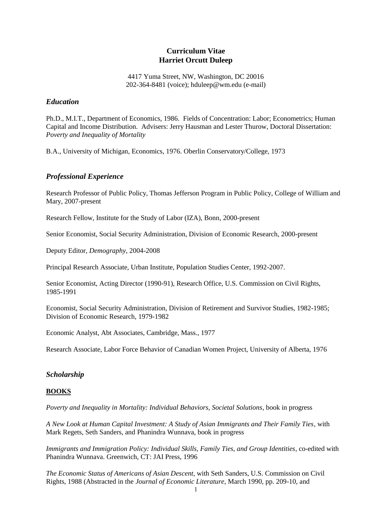# **Curriculum Vitae Harriet Orcutt Duleep**

4417 Yuma Street, NW, Washington, DC 20016 202-364-8481 (voice); hduleep@wm.edu (e-mail)

# *Education*

Ph.D., M.I.T., Department of Economics, 1986. Fields of Concentration: Labor; Econometrics; Human Capital and Income Distribution. Advisers: Jerry Hausman and Lester Thurow, Doctoral Dissertation: *Poverty and Inequality of Mortality*

B.A., University of Michigan, Economics, 1976. Oberlin Conservatory/College, 1973

# *Professional Experience*

Research Professor of Public Policy, Thomas Jefferson Program in Public Policy, College of William and Mary, 2007-present

Research Fellow, Institute for the Study of Labor (IZA), Bonn, 2000-present

Senior Economist, Social Security Administration, Division of Economic Research, 2000-present

Deputy Editor, *Demography*, 2004-2008

Principal Research Associate, Urban Institute, Population Studies Center, 1992-2007.

Senior Economist, Acting Director (1990-91), Research Office, U.S. Commission on Civil Rights, 1985-1991

Economist, Social Security Administration, Division of Retirement and Survivor Studies, 1982-1985; Division of Economic Research, 1979-1982

Economic Analyst, Abt Associates, Cambridge, Mass., 1977

Research Associate, Labor Force Behavior of Canadian Women Project, University of Alberta, 1976

# *Scholarship*

### **BOOKS**

*Poverty and Inequality in Mortality: Individual Behaviors, Societal Solutions*, book in progress

*A New Look at Human Capital Investment: A Study of Asian Immigrants and Their Family Ties,* with Mark Regets, Seth Sanders, and Phanindra Wunnava, book in progress

*Immigrants and Immigration Policy: Individual Skills, Family Ties, and Group Identities*, co-edited with Phanindra Wunnava. Greenwich, CT: JAI Press, 1996

*The Economic Status of Americans of Asian Descent*, with Seth Sanders, U.S. Commission on Civil Rights, 1988 (Abstracted in the *Journal of Economic Literature*, March 1990, pp. 209-10, and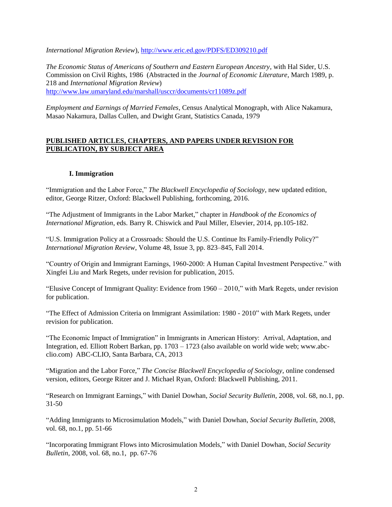*International Migration Review*),<http://www.eric.ed.gov/PDFS/ED309210.pdf>

*The Economic Status of Americans of Southern and Eastern European Ancestry*, with Hal Sider, U.S. Commission on Civil Rights, 1986 (Abstracted in the *Journal of Economic Literature*, March 1989, p. 218 and *International Migration Review*) <http://www.law.umaryland.edu/marshall/usccr/documents/cr11089z.pdf>

*Employment and Earnings of Married Females*, Census Analytical Monograph, with Alice Nakamura, Masao Nakamura, Dallas Cullen, and Dwight Grant, Statistics Canada, 1979

# **PUBLISHED ARTICLES, CHAPTERS, AND PAPERS UNDER REVISION FOR PUBLICATION, BY SUBJECT AREA**

# **I. Immigration**

"Immigration and the Labor Force," *The Blackwell Encyclopedia of Sociology*, new updated edition, editor, George Ritzer, Oxford: Blackwell Publishing, forthcoming, 2016.

"The Adjustment of Immigrants in the Labor Market," chapter in *Handbook of the Economics of International Migration*, eds. Barry R. Chiswick and Paul Miller, Elsevier, 2014, pp.105-182.

"U.S. Immigration Policy at a Crossroads: Should the U.S. Continue Its Family-Friendly Policy?" *International Migration Review*, Volume 48, Issue 3, pp. 823–845, Fall 2014.

"Country of Origin and Immigrant Earnings, 1960-2000: A Human Capital Investment Perspective." with Xingfei Liu and Mark Regets, under revision for publication, 2015.

"Elusive Concept of Immigrant Quality: Evidence from 1960 – 2010," with Mark Regets, under revision for publication.

"The Effect of Admission Criteria on Immigrant Assimilation: 1980 - 2010" with Mark Regets, under revision for publication.

"The Economic Impact of Immigration" in Immigrants in American History: Arrival, Adaptation, and Integration, ed. Elliott Robert Barkan, pp. 1703 – 1723 (also available on world wide web; www.abcclio.com) ABC-CLIO, Santa Barbara, CA, 2013

"Migration and the Labor Force," *The Concise Blackwell Encyclopedia of Sociology*, online condensed version, editors, George Ritzer and J. Michael Ryan, Oxford: Blackwell Publishing, 2011.

"Research on Immigrant Earnings," with Daniel Dowhan, *Social Security Bulletin*, 2008, vol. 68, no.1, pp. 31-50

"Adding Immigrants to Microsimulation Models," with Daniel Dowhan, *Social Security Bulletin*, 2008, vol. 68, no.1, pp. 51-66

"Incorporating Immigrant Flows into Microsimulation Models," with Daniel Dowhan, *Social Security Bulletin*, 2008, vol. 68, no.1, pp. 67-76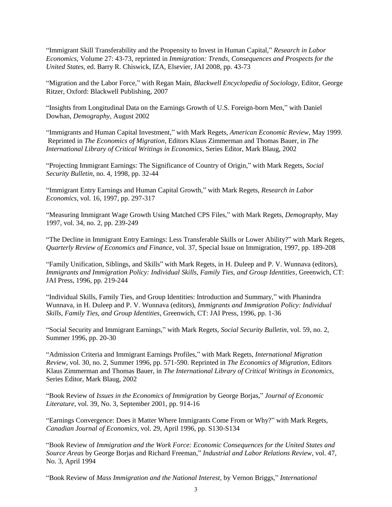"Immigrant Skill Transferability and the Propensity to Invest in Human Capital," *Research in Labor Economics,* Volume 27: 43-73, reprinted in *Immigration: Trends, Consequences and Prospects for the United States,* ed. Barry R. Chiswick, IZA, Elsevier, JAI 2008, pp. 43-73

"Migration and the Labor Force," with Regan Main, *Blackwell Encyclopedia of Sociology,* Editor, George Ritzer, Oxford: Blackwell Publishing, 2007

"Insights from Longitudinal Data on the Earnings Growth of U.S. Foreign-born Men," with Daniel Dowhan, *Demography*, August 2002

"Immigrants and Human Capital Investment," with Mark Regets, *American Economic Review*, May 1999. Reprinted in *The Economics of Migration*, Editors Klaus Zimmerman and Thomas Bauer, in *The International Library of Critical Writings in Economics*, Series Editor, Mark Blaug, 2002

"Projecting Immigrant Earnings: The Significance of Country of Origin," with Mark Regets, *Social Security Bulletin*, no. 4, 1998, pp. 32-44

"Immigrant Entry Earnings and Human Capital Growth," with Mark Regets, *Research in Labor Economics*, vol. 16, 1997, pp. 297-317

"Measuring Immigrant Wage Growth Using Matched CPS Files," with Mark Regets, *Demography*, May 1997, vol. 34, no. 2, pp. 239-249

"The Decline in Immigrant Entry Earnings: Less Transferable Skills or Lower Ability?" with Mark Regets, *Quarterly Review of Economics and Finance*, vol. 37, Special Issue on Immigration, 1997, pp. 189-208

"Family Unification, Siblings, and Skills" with Mark Regets, in H. Duleep and P. V. Wunnava (editors), *Immigrants and Immigration Policy: Individual Skills, Family Ties, and Group Identities*, Greenwich, CT: JAI Press, 1996, pp. 219-244

"Individual Skills, Family Ties, and Group Identities: Introduction and Summary," with Phanindra Wunnava, in H. Duleep and P. V. Wunnava (editors), *Immigrants and Immigration Policy: Individual Skills, Family Ties, and Group Identities*, Greenwich, CT: JAI Press, 1996, pp. 1-36

"Social Security and Immigrant Earnings," with Mark Regets, *Social Security Bulletin*, vol. 59, no. 2, Summer 1996, pp. 20-30

"Admission Criteria and Immigrant Earnings Profiles," with Mark Regets, *International Migration Review*, vol. 30, no. 2, Summer 1996, pp. 571-590. Reprinted in *The Economics of Migration*, Editors Klaus Zimmerman and Thomas Bauer, in *The International Library of Critical Writings in Economics*, Series Editor, Mark Blaug, 2002

"Book Review of *Issues in the Economics of Immigration* by George Borjas," *Journal of Economic Literature*, vol. 39, No. 3, September 2001, pp. 914-16

"Earnings Convergence: Does it Matter Where Immigrants Come From or Why?" with Mark Regets, *Canadian Journal of Economics*, vol. 29, April 1996, pp. S130-S134

"Book Review of *Immigration and the Work Force: Economic Consequences for the United States and Source Areas* by George Borjas and Richard Freeman," *Industrial and Labor Relations Review*, vol. 47, No. 3, April 1994

"Book Review of *Mass Immigration and the National Interest*, by Vernon Briggs," *International*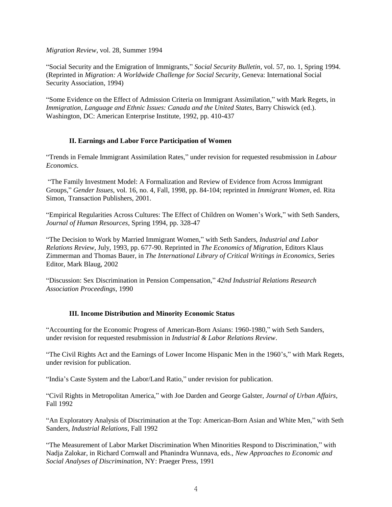*Migration Review*, vol. 28, Summer 1994

"Social Security and the Emigration of Immigrants," *Social Security Bulletin*, vol. 57, no. 1, Spring 1994. (Reprinted in *Migration: A Worldwide Challenge for Social Security*, Geneva: International Social Security Association, 1994)

"Some Evidence on the Effect of Admission Criteria on Immigrant Assimilation," with Mark Regets, in *Immigration, Language and Ethnic Issues: Canada and the United States*, Barry Chiswick (ed.). Washington, DC: American Enterprise Institute, 1992, pp. 410-437

# **II. Earnings and Labor Force Participation of Women**

"Trends in Female Immigrant Assimilation Rates," under revision for requested resubmission in *Labour Economics*.

"The Family Investment Model: A Formalization and Review of Evidence from Across Immigrant Groups," *Gender Issues*, vol. 16, no. 4, Fall, 1998, pp. 84-104; reprinted in *Immigrant Women*, ed. Rita Simon, Transaction Publishers, 2001.

"Empirical Regularities Across Cultures: The Effect of Children on Women's Work," with Seth Sanders, *Journal of Human Resources*, Spring 1994, pp. 328-47

"The Decision to Work by Married Immigrant Women," with Seth Sanders, *Industrial and Labor Relations Review*, July, 1993, pp. 677-90. Reprinted in *The Economics of Migration*, Editors Klaus Zimmerman and Thomas Bauer, in *The International Library of Critical Writings in Economics*, Series Editor, Mark Blaug, 2002

"Discussion: Sex Discrimination in Pension Compensation," *42nd Industrial Relations Research Association Proceedings*, 1990

# **III. Income Distribution and Minority Economic Status**

"Accounting for the Economic Progress of American-Born Asians: 1960-1980," with Seth Sanders, under revision for requested resubmission in *Industrial & Labor Relations Review*.

"The Civil Rights Act and the Earnings of Lower Income Hispanic Men in the 1960's," with Mark Regets, under revision for publication.

"India's Caste System and the Labor/Land Ratio," under revision for publication.

"Civil Rights in Metropolitan America," with Joe Darden and George Galster, *Journal of Urban Affairs*, Fall 1992

"An Exploratory Analysis of Discrimination at the Top: American-Born Asian and White Men," with Seth Sanders, *Industrial Relations*, Fall 1992

"The Measurement of Labor Market Discrimination When Minorities Respond to Discrimination," with Nadja Zalokar, in Richard Cornwall and Phanindra Wunnava, eds., *New Approaches to Economic and Social Analyses of Discrimination*, NY: Praeger Press, 1991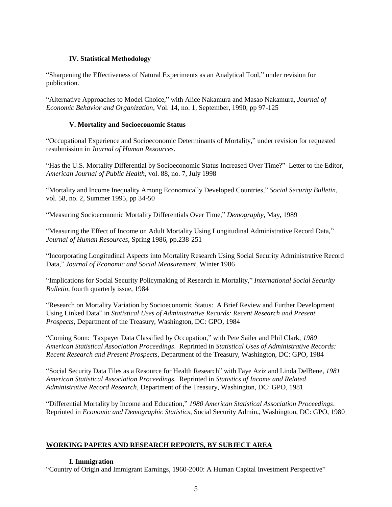# **IV. Statistical Methodology**

"Sharpening the Effectiveness of Natural Experiments as an Analytical Tool," under revision for publication.

"Alternative Approaches to Model Choice," with Alice Nakamura and Masao Nakamura, *Journal of Economic Behavior and Organization*, Vol. 14, no. 1, September, 1990, pp 97-125

### **V. Mortality and Socioeconomic Status**

"Occupational Experience and Socioeconomic Determinants of Mortality," under revision for requested resubmission in *Journal of Human Resources*.

"Has the U.S. Mortality Differential by Socioeconomic Status Increased Over Time?" Letter to the Editor, *American Journal of Public Health*, vol. 88, no. 7, July 1998

"Mortality and Income Inequality Among Economically Developed Countries," *Social Security Bulletin*, vol. 58, no. 2, Summer 1995, pp 34-50

"Measuring Socioeconomic Mortality Differentials Over Time," *Demography*, May, 1989

"Measuring the Effect of Income on Adult Mortality Using Longitudinal Administrative Record Data," *Journal of Human Resources*, Spring 1986, pp.238-251

"Incorporating Longitudinal Aspects into Mortality Research Using Social Security Administrative Record Data," *Journal of Economic and Social Measurement*, Winter 1986

"Implications for Social Security Policymaking of Research in Mortality," *International Social Security Bulletin*, fourth quarterly issue, 1984

"Research on Mortality Variation by Socioeconomic Status: A Brief Review and Further Development Using Linked Data" in *Statistical Uses of Administrative Records: Recent Research and Present Prospects*, Department of the Treasury, Washington, DC: GPO, 1984

"Coming Soon: Taxpayer Data Classified by Occupation," with Pete Sailer and Phil Clark, *1980 American Statistical Association Proceedings*. Reprinted in *Statistical Uses of Administrative Records: Recent Research and Present Prospects*, Department of the Treasury, Washington, DC: GPO, 1984

"Social Security Data Files as a Resource for Health Research" with Faye Aziz and Linda DelBene, *1981 American Statistical Association Proceedings*. Reprinted in *Statistics of Income and Related Administrative Record Research*, Department of the Treasury, Washington, DC: GPO, 1981

"Differential Mortality by Income and Education," *1980 American Statistical Association Proceedings*. Reprinted in *Economic and Demographic Statistics*, Social Security Admin., Washington, DC: GPO, 1980

### **WORKING PAPERS AND RESEARCH REPORTS, BY SUBJECT AREA**

### **I. Immigration**

"Country of Origin and Immigrant Earnings, 1960-2000: A Human Capital Investment Perspective"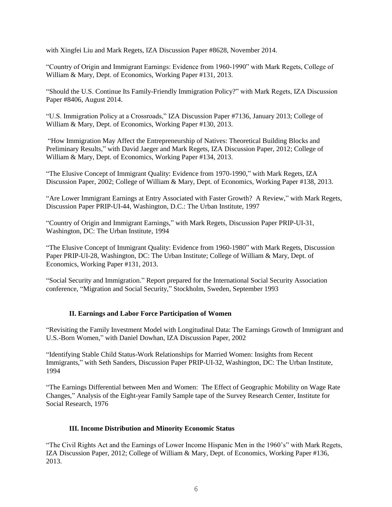with Xingfei Liu and Mark Regets, IZA Discussion Paper #8628, November 2014.

"Country of Origin and Immigrant Earnings: Evidence from 1960-1990" with Mark Regets, College of William & Mary, Dept. of Economics, Working Paper #131, 2013.

"Should the U.S. Continue Its Family-Friendly Immigration Policy?" with Mark Regets, IZA Discussion Paper #8406, August 2014.

"U.S. Immigration Policy at a Crossroads," IZA Discussion Paper #7136, January 2013; College of William & Mary, Dept. of Economics, Working Paper #130, 2013.

"How Immigration May Affect the Entrepreneurship of Natives: Theoretical Building Blocks and Preliminary Results," with David Jaeger and Mark Regets, IZA Discussion Paper, 2012; College of William & Mary, Dept. of Economics, Working Paper #134, 2013.

"The Elusive Concept of Immigrant Quality: Evidence from 1970-1990," with Mark Regets, IZA Discussion Paper, 2002; College of William & Mary, Dept. of Economics, Working Paper #138, 2013.

"Are Lower Immigrant Earnings at Entry Associated with Faster Growth? A Review," with Mark Regets, Discussion Paper PRIP-UI-44, Washington, D.C.: The Urban Institute, 1997

"Country of Origin and Immigrant Earnings," with Mark Regets, Discussion Paper PRIP-UI-31, Washington, DC: The Urban Institute, 1994

"The Elusive Concept of Immigrant Quality: Evidence from 1960-1980" with Mark Regets, Discussion Paper PRIP-UI-28, Washington, DC: The Urban Institute; College of William & Mary, Dept. of Economics, Working Paper #131, 2013.

"Social Security and Immigration." Report prepared for the International Social Security Association conference, "Migration and Social Security," Stockholm, Sweden, September 1993

### **II. Earnings and Labor Force Participation of Women**

"Revisiting the Family Investment Model with Longitudinal Data: The Earnings Growth of Immigrant and U.S.-Born Women," with Daniel Dowhan, IZA Discussion Paper, 2002

"Identifying Stable Child Status-Work Relationships for Married Women: Insights from Recent Immigrants," with Seth Sanders, Discussion Paper PRIP-UI-32, Washington, DC: The Urban Institute, 1994

"The Earnings Differential between Men and Women: The Effect of Geographic Mobility on Wage Rate Changes," Analysis of the Eight-year Family Sample tape of the Survey Research Center, Institute for Social Research, 1976

### **III. Income Distribution and Minority Economic Status**

"The Civil Rights Act and the Earnings of Lower Income Hispanic Men in the 1960's" with Mark Regets, IZA Discussion Paper, 2012; College of William & Mary, Dept. of Economics, Working Paper #136, 2013.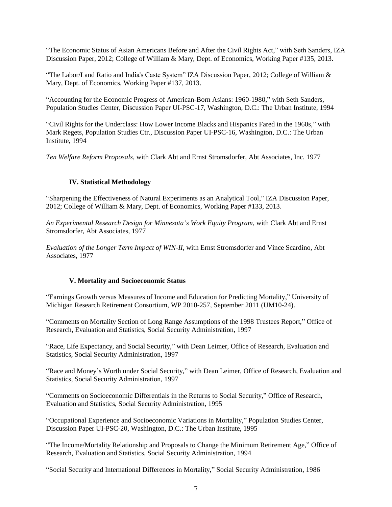"The Economic Status of Asian Americans Before and After the Civil Rights Act," with Seth Sanders, IZA Discussion Paper, 2012; College of William & Mary, Dept. of Economics, Working Paper #135, 2013.

"The Labor/Land Ratio and India's Caste System" IZA Discussion Paper, 2012; College of William & Mary, Dept. of Economics, Working Paper #137, 2013.

"Accounting for the Economic Progress of American-Born Asians: 1960-1980," with Seth Sanders, Population Studies Center, Discussion Paper UI-PSC-17, Washington, D.C.: The Urban Institute, 1994

"Civil Rights for the Underclass: How Lower Income Blacks and Hispanics Fared in the 1960s," with Mark Regets, Population Studies Ctr., Discussion Paper UI-PSC-16, Washington, D.C.: The Urban Institute, 1994

*Ten Welfare Reform Proposals*, with Clark Abt and Ernst Stromsdorfer, Abt Associates, Inc. 1977

#### **IV. Statistical Methodology**

"Sharpening the Effectiveness of Natural Experiments as an Analytical Tool," IZA Discussion Paper, 2012; College of William & Mary, Dept. of Economics, Working Paper #133, 2013.

*An Experimental Research Design for Minnesota's Work Equity Program*, with Clark Abt and Ernst Stromsdorfer, Abt Associates, 1977

*Evaluation of the Longer Term Impact of WIN-II*, with Ernst Stromsdorfer and Vince Scardino, Abt Associates, 1977

#### **V. Mortality and Socioeconomic Status**

"Earnings Growth versus Measures of Income and Education for Predicting Mortality," University of Michigan Research Retirement Consortium, WP 2010-257, September 2011 (UM10-24).

"Comments on Mortality Section of Long Range Assumptions of the 1998 Trustees Report," Office of Research, Evaluation and Statistics, Social Security Administration, 1997

"Race, Life Expectancy, and Social Security," with Dean Leimer, Office of Research, Evaluation and Statistics, Social Security Administration, 1997

"Race and Money's Worth under Social Security," with Dean Leimer, Office of Research, Evaluation and Statistics, Social Security Administration, 1997

"Comments on Socioeconomic Differentials in the Returns to Social Security," Office of Research, Evaluation and Statistics, Social Security Administration, 1995

"Occupational Experience and Socioeconomic Variations in Mortality," Population Studies Center, Discussion Paper UI-PSC-20, Washington, D.C.: The Urban Institute, 1995

"The Income/Mortality Relationship and Proposals to Change the Minimum Retirement Age," Office of Research, Evaluation and Statistics, Social Security Administration, 1994

"Social Security and International Differences in Mortality," Social Security Administration, 1986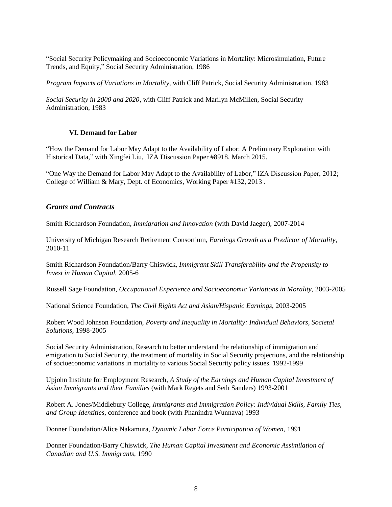"Social Security Policymaking and Socioeconomic Variations in Mortality: Microsimulation, Future Trends, and Equity," Social Security Administration, 1986

*Program Impacts of Variations in Mortality*, with Cliff Patrick, Social Security Administration, 1983

*Social Security in 2000 and 2020*, with Cliff Patrick and Marilyn McMillen, Social Security Administration, 1983

### **VI. Demand for Labor**

"How the Demand for Labor May Adapt to the Availability of Labor: A Preliminary Exploration with Historical Data," with Xingfei Liu, IZA Discussion Paper #8918, March 2015.

"One Way the Demand for Labor May Adapt to the Availability of Labor," IZA Discussion Paper, 2012; College of William & Mary, Dept. of Economics, Working Paper #132, 2013 .

# *Grants and Contracts*

Smith Richardson Foundation*, Immigration and Innovation* (with David Jaeger), 2007-2014

University of Michigan Research Retirement Consortium, *Earnings Growth as a Predictor of Mortality*, 2010-11

Smith Richardson Foundation/Barry Chiswick, *Immigrant Skill Transferability and the Propensity to Invest in Human Capital,* 2005-6

Russell Sage Foundation, *Occupational Experience and Socioeconomic Variations in Morality*, 2003-2005

National Science Foundation, *The Civil Rights Act and Asian/Hispanic Earnings*, 2003-2005

Robert Wood Johnson Foundation, *Poverty and Inequality in Mortality: Individual Behaviors, Societal Solutions,* 1998-2005

Social Security Administration, Research to better understand the relationship of immigration and emigration to Social Security, the treatment of mortality in Social Security projections, and the relationship of socioeconomic variations in mortality to various Social Security policy issues. 1992-1999

Upjohn Institute for Employment Research, *A Study of the Earnings and Human Capital Investment of Asian Immigrants and their Families* (with Mark Regets and Seth Sanders) 1993-2001

Robert A. Jones/Middlebury College, *Immigrants and Immigration Policy: Individual Skills, Family Ties, and Group Identities*, conference and book (with Phanindra Wunnava) 1993

Donner Foundation/Alice Nakamura, *Dynamic Labor Force Participation of Women*, 1991

Donner Foundation/Barry Chiswick, *The Human Capital Investment and Economic Assimilation of Canadian and U.S. Immigrants,* 1990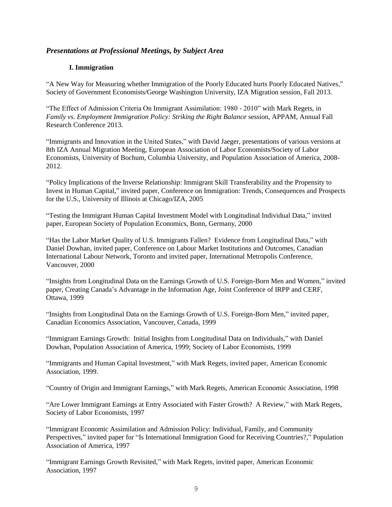# *Presentations at Professional Meetings, by Subject Area*

# **I. Immigration**

"A New Way for Measuring whether Immigration of the Poorly Educated hurts Poorly Educated Natives," Society of Government Economists/George Washington University, IZA Migration session, Fall 2013.

"The Effect of Admission Criteria On Immigrant Assimilation: 1980 - 2010" with Mark Regets, in *Family vs. Employment Immigration Policy: Striking the Right Balance* session, APPAM, Annual Fall Research Conference 2013.

"Immigrants and Innovation in the United States," with David Jaeger, presentations of various versions at 8th IZA Annual Migration Meeting, European Association of Labor Economists/Society of Labor Economists, University of Bochum, Columbia University, and Population Association of America, 2008- 2012.

"Policy Implications of the Inverse Relationship: Immigrant Skill Transferability and the Propensity to Invest in Human Capital," invited paper, Conference on Immigration: Trends, Consequences and Prospects for the U.S., University of Illinois at Chicago/IZA, 2005

"Testing the Immigrant Human Capital Investment Model with Longitudinal Individual Data," invited paper, European Society of Population Economics, Bonn, Germany, 2000

"Has the Labor Market Quality of U.S. Immigrants Fallen? Evidence from Longitudinal Data," with Daniel Dowhan, invited paper, Conference on Labour Market Institutions and Outcomes, Canadian International Labour Network, Toronto and invited paper, International Metropolis Conference, Vancouver, 2000

"Insights from Longitudinal Data on the Earnings Growth of U.S. Foreign-Born Men and Women," invited paper, Creating Canada's Advantage in the Information Age, Joint Conference of IRPP and CERF, Ottawa, 1999

"Insights from Longitudinal Data on the Earnings Growth of U.S. Foreign-Born Men," invited paper, Canadian Economics Association, Vancouver, Canada, 1999

"Immigrant Earnings Growth: Initial Insights from Longitudinal Data on Individuals," with Daniel Dowhan, Population Association of America, 1999; Society of Labor Economists, 1999

"Immigrants and Human Capital Investment," with Mark Regets, invited paper, American Economic Association, 1999.

"Country of Origin and Immigrant Earnings," with Mark Regets, American Economic Association, 1998

"Are Lower Immigrant Earnings at Entry Associated with Faster Growth? A Review," with Mark Regets, Society of Labor Economists, 1997

"Immigrant Economic Assimilation and Admission Policy: Individual, Family, and Community Perspectives," invited paper for "Is International Immigration Good for Receiving Countries?," Population Association of America, 1997

"Immigrant Earnings Growth Revisited," with Mark Regets, invited paper, American Economic Association, 1997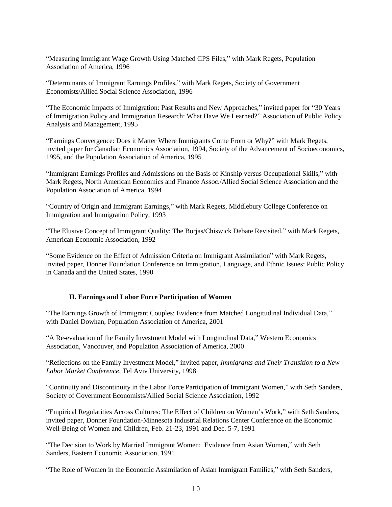"Measuring Immigrant Wage Growth Using Matched CPS Files," with Mark Regets, Population Association of America, 1996

"Determinants of Immigrant Earnings Profiles," with Mark Regets, Society of Government Economists/Allied Social Science Association, 1996

"The Economic Impacts of Immigration: Past Results and New Approaches," invited paper for "30 Years of Immigration Policy and Immigration Research: What Have We Learned?" Association of Public Policy Analysis and Management, 1995

"Earnings Convergence: Does it Matter Where Immigrants Come From or Why?" with Mark Regets, invited paper for Canadian Economics Association, 1994, Society of the Advancement of Socioeconomics, 1995, and the Population Association of America, 1995

"Immigrant Earnings Profiles and Admissions on the Basis of Kinship versus Occupational Skills," with Mark Regets, North American Economics and Finance Assoc./Allied Social Science Association and the Population Association of America, 1994

"Country of Origin and Immigrant Earnings," with Mark Regets, Middlebury College Conference on Immigration and Immigration Policy, 1993

"The Elusive Concept of Immigrant Quality: The Borjas/Chiswick Debate Revisited," with Mark Regets, American Economic Association, 1992

"Some Evidence on the Effect of Admission Criteria on Immigrant Assimilation" with Mark Regets, invited paper, Donner Foundation Conference on Immigration, Language, and Ethnic Issues: Public Policy in Canada and the United States, 1990

### **II. Earnings and Labor Force Participation of Women**

"The Earnings Growth of Immigrant Couples: Evidence from Matched Longitudinal Individual Data," with Daniel Dowhan, Population Association of America, 2001

"A Re-evaluation of the Family Investment Model with Longitudinal Data," Western Economics Association, Vancouver, and Population Association of America, 2000

"Reflections on the Family Investment Model," invited paper, *Immigrants and Their Transition to a New Labor Market Conference*, Tel Aviv University, 1998

"Continuity and Discontinuity in the Labor Force Participation of Immigrant Women," with Seth Sanders, Society of Government Economists/Allied Social Science Association, 1992

"Empirical Regularities Across Cultures: The Effect of Children on Women's Work," with Seth Sanders, invited paper, Donner Foundation-Minnesota Industrial Relations Center Conference on the Economic Well-Being of Women and Children, Feb. 21-23, 1991 and Dec. 5-7, 1991

"The Decision to Work by Married Immigrant Women: Evidence from Asian Women," with Seth Sanders, Eastern Economic Association, 1991

"The Role of Women in the Economic Assimilation of Asian Immigrant Families," with Seth Sanders,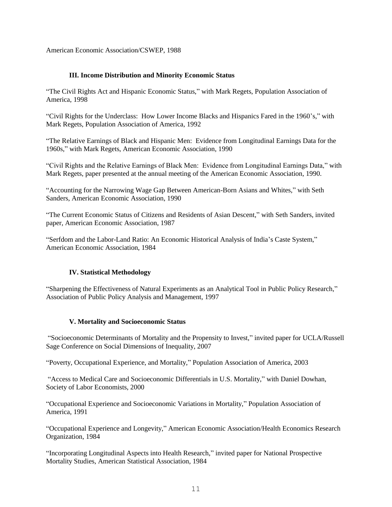American Economic Association/CSWEP, 1988

### **III. Income Distribution and Minority Economic Status**

"The Civil Rights Act and Hispanic Economic Status," with Mark Regets, Population Association of America, 1998

"Civil Rights for the Underclass: How Lower Income Blacks and Hispanics Fared in the 1960's," with Mark Regets, Population Association of America, 1992

"The Relative Earnings of Black and Hispanic Men: Evidence from Longitudinal Earnings Data for the 1960s," with Mark Regets, American Economic Association, 1990

"Civil Rights and the Relative Earnings of Black Men: Evidence from Longitudinal Earnings Data," with Mark Regets, paper presented at the annual meeting of the American Economic Association, 1990.

"Accounting for the Narrowing Wage Gap Between American-Born Asians and Whites," with Seth Sanders, American Economic Association, 1990

"The Current Economic Status of Citizens and Residents of Asian Descent," with Seth Sanders, invited paper, American Economic Association, 1987

"Serfdom and the Labor-Land Ratio: An Economic Historical Analysis of India's Caste System," American Economic Association, 1984

### **IV. Statistical Methodology**

"Sharpening the Effectiveness of Natural Experiments as an Analytical Tool in Public Policy Research," Association of Public Policy Analysis and Management, 1997

### **V. Mortality and Socioeconomic Status**

"Socioeconomic Determinants of Mortality and the Propensity to Invest," invited paper for UCLA/Russell Sage Conference on Social Dimensions of Inequality, 2007

"Poverty, Occupational Experience, and Mortality," Population Association of America, 2003

"Access to Medical Care and Socioeconomic Differentials in U.S. Mortality," with Daniel Dowhan, Society of Labor Economists, 2000

"Occupational Experience and Socioeconomic Variations in Mortality," Population Association of America, 1991

"Occupational Experience and Longevity," American Economic Association/Health Economics Research Organization, 1984

"Incorporating Longitudinal Aspects into Health Research," invited paper for National Prospective Mortality Studies, American Statistical Association, 1984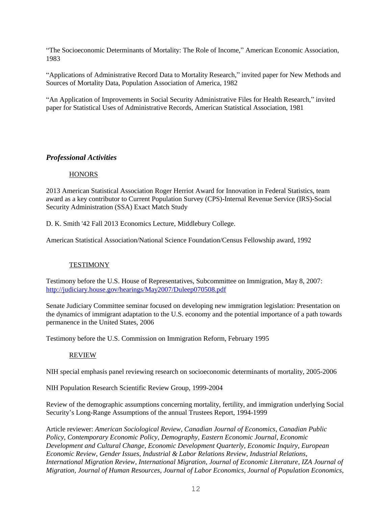"The Socioeconomic Determinants of Mortality: The Role of Income," American Economic Association, 1983

"Applications of Administrative Record Data to Mortality Research," invited paper for New Methods and Sources of Mortality Data, Population Association of America, 1982

"An Application of Improvements in Social Security Administrative Files for Health Research," invited paper for Statistical Uses of Administrative Records, American Statistical Association, 1981

# *Professional Activities*

### **HONORS**

2013 American Statistical Association Roger Herriot Award for Innovation in Federal Statistics, team award as a key contributor to Current Population Survey (CPS)-Internal Revenue Service (IRS)-Social Security Administration (SSA) Exact Match Study

D. K. Smith '42 Fall 2013 Economics Lecture, Middlebury College.

American Statistical Association/National Science Foundation/Census Fellowship award, 1992

### **TESTIMONY**

Testimony before the U.S. House of Representatives, Subcommittee on Immigration, May 8, 2007: <http://judiciary.house.gov/hearings/May2007/Duleep070508.pdf>

Senate Judiciary Committee seminar focused on developing new immigration legislation: Presentation on the dynamics of immigrant adaptation to the U.S. economy and the potential importance of a path towards permanence in the United States, 2006

Testimony before the U.S. Commission on Immigration Reform, February 1995

### REVIEW

NIH special emphasis panel reviewing research on socioeconomic determinants of mortality, 2005-2006

NIH Population Research Scientific Review Group, 1999-2004

Review of the demographic assumptions concerning mortality, fertility, and immigration underlying Social Security's Long-Range Assumptions of the annual Trustees Report, 1994-1999

Article reviewer: *American Sociological Review, Canadian Journal of Economics*, *Canadian Public Policy, Contemporary Economic Policy*, *Demography*, *Eastern Economic Journal, Economic Development and Cultural Change*, *Economic Development Quarterly, Economic Inquiry*, *European Economic Review*, *Gender Issues*, *Industrial & Labor Relations Review*, *Industrial Relations*, *International Migration Review*, *International Migration, Journal of Economic Literature*, *IZA Journal of Migration, Journal of Human Resources*, *Journal of Labor Economics*, *Journal of Population Economics*,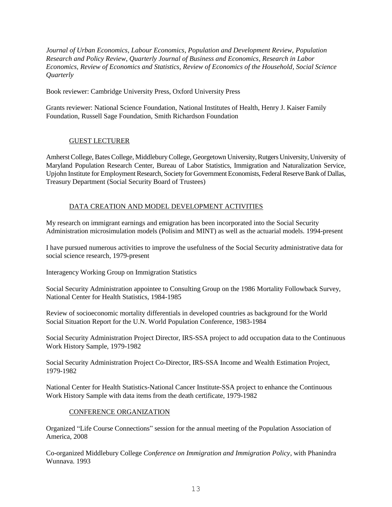*Journal of Urban Economics*, *Labour Economics*, *Population and Development Review, Population Research and Policy Review*, *Quarterly Journal of Business and Economics, Research in Labor Economics, Review of Economics and Statistics, Review of Economics of the Household, Social Science Quarterly*

Book reviewer: Cambridge University Press, Oxford University Press

Grants reviewer: National Science Foundation, National Institutes of Health, Henry J. Kaiser Family Foundation, Russell Sage Foundation, Smith Richardson Foundation

# GUEST LECTURER

Amherst College, Bates College, Middlebury College, Georgetown University, Rutgers University, University of Maryland Population Research Center, Bureau of Labor Statistics, Immigration and Naturalization Service, Upjohn Institute for Employment Research, Society for Government Economists, Federal Reserve Bank of Dallas, Treasury Department (Social Security Board of Trustees)

# DATA CREATION AND MODEL DEVELOPMENT ACTIVITIES

My research on immigrant earnings and emigration has been incorporated into the Social Security Administration microsimulation models (Polisim and MINT) as well as the actuarial models. 1994-present

I have pursued numerous activities to improve the usefulness of the Social Security administrative data for social science research, 1979-present

Interagency Working Group on Immigration Statistics

Social Security Administration appointee to Consulting Group on the 1986 Mortality Followback Survey, National Center for Health Statistics, 1984-1985

Review of socioeconomic mortality differentials in developed countries as background for the World Social Situation Report for the U.N. World Population Conference, 1983-1984

Social Security Administration Project Director, IRS-SSA project to add occupation data to the Continuous Work History Sample, 1979-1982

Social Security Administration Project Co-Director, IRS-SSA Income and Wealth Estimation Project, 1979-1982

National Center for Health Statistics-National Cancer Institute-SSA project to enhance the Continuous Work History Sample with data items from the death certificate, 1979-1982

### CONFERENCE ORGANIZATION

Organized "Life Course Connections" session for the annual meeting of the Population Association of America, 2008

Co-organized Middlebury College *Conference on Immigration and Immigration Policy*, with Phanindra Wunnava. 1993